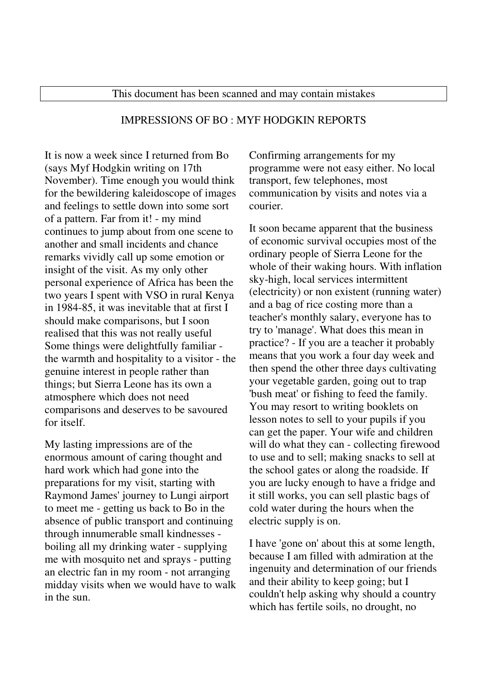## IMPRESSIONS OF BO : MYF HODGKIN REPORTS

It is now a week since I returned from Bo (says Myf Hodgkin writing on 17th November). Time enough you would think for the bewildering kaleidoscope of images and feelings to settle down into some sort of a pattern. Far from it! - my mind continues to jump about from one scene to another and small incidents and chance remarks vividly call up some emotion or insight of the visit. As my only other personal experience of Africa has been the two years I spent with VSO in rural Kenya in 1984-85, it was inevitable that at first I should make comparisons, but I soon realised that this was not really useful Some things were delightfully familiar the warmth and hospitality to a visitor - the genuine interest in people rather than things; but Sierra Leone has its own a atmosphere which does not need comparisons and deserves to be savoured for itself.

My lasting impressions are of the enormous amount of caring thought and hard work which had gone into the preparations for my visit, starting with Raymond James' journey to Lungi airport to meet me - getting us back to Bo in the absence of public transport and continuing through innumerable small kindnesses boiling all my drinking water - supplying me with mosquito net and sprays - putting an electric fan in my room - not arranging midday visits when we would have to walk in the sun.

Confirming arrangements for my programme were not easy either. No local transport, few telephones, most communication by visits and notes via a courier.

It soon became apparent that the business of economic survival occupies most of the ordinary people of Sierra Leone for the whole of their waking hours. With inflation sky-high, local services intermittent (electricity) or non existent (running water) and a bag of rice costing more than a teacher's monthly salary, everyone has to try to 'manage'. What does this mean in practice? - If you are a teacher it probably means that you work a four day week and then spend the other three days cultivating your vegetable garden, going out to trap 'bush meat' or fishing to feed the family. You may resort to writing booklets on lesson notes to sell to your pupils if you can get the paper. Your wife and children will do what they can - collecting firewood to use and to sell; making snacks to sell at the school gates or along the roadside. If you are lucky enough to have a fridge and it still works, you can sell plastic bags of cold water during the hours when the electric supply is on.

I have 'gone on' about this at some length, because I am filled with admiration at the ingenuity and determination of our friends and their ability to keep going; but I couldn't help asking why should a country which has fertile soils, no drought, no